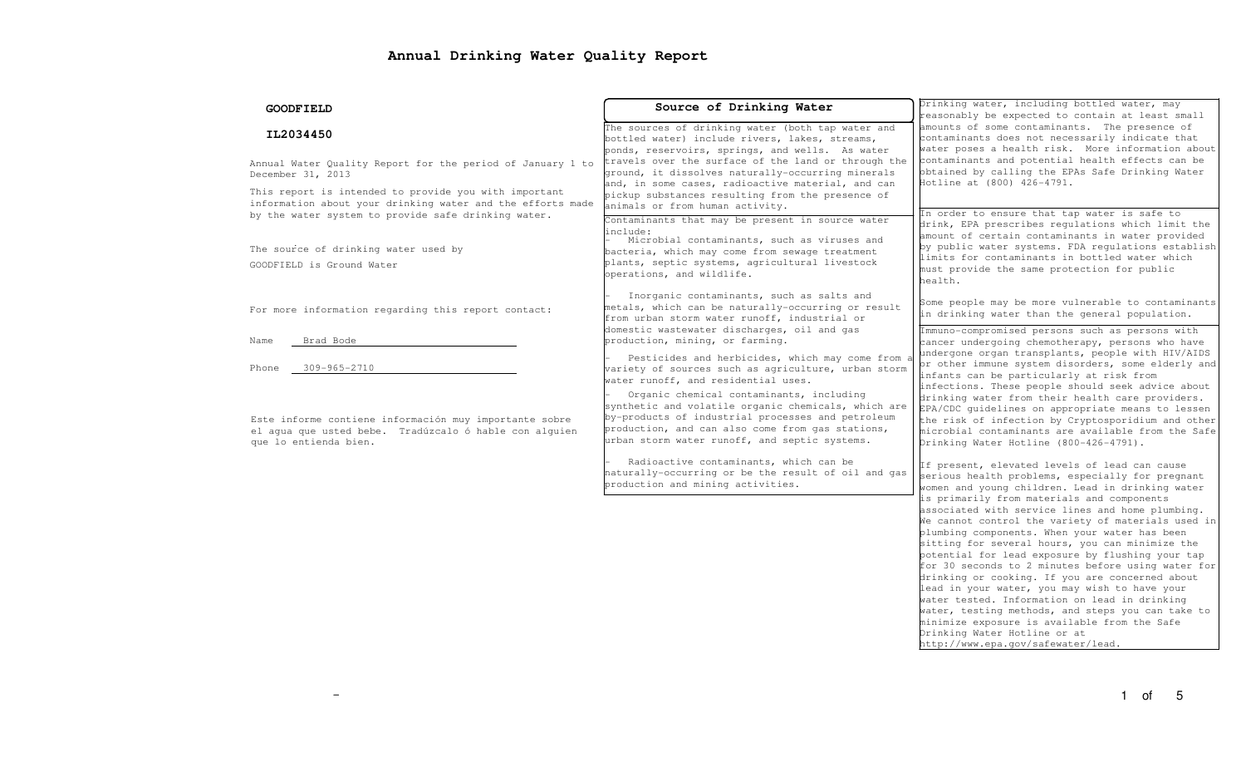# **Annual Drinking Water Quality Report**

| <b>GOODFIELD</b>                                                                                                                                                                        | Source of Drinking Water                                                                                                                                                                                                                                                                                                                                                                                                                       | Drinking water, including bottled water, may<br>reasonably be expected to contain at least small<br>amounts of some contaminants. The presence of<br>contaminants does not necessarily indicate that<br>water poses a health risk. More information about<br>contaminants and potential health effects can be<br>obtained by calling the EPAs Safe Drinking Water<br>Hotline at (800) 426-4791.                                                                                                                                                                                                                                                                                                                                                                                                                                                             |  |  |
|-----------------------------------------------------------------------------------------------------------------------------------------------------------------------------------------|------------------------------------------------------------------------------------------------------------------------------------------------------------------------------------------------------------------------------------------------------------------------------------------------------------------------------------------------------------------------------------------------------------------------------------------------|-------------------------------------------------------------------------------------------------------------------------------------------------------------------------------------------------------------------------------------------------------------------------------------------------------------------------------------------------------------------------------------------------------------------------------------------------------------------------------------------------------------------------------------------------------------------------------------------------------------------------------------------------------------------------------------------------------------------------------------------------------------------------------------------------------------------------------------------------------------|--|--|
| IL2034450<br>Annual Water Quality Report for the period of January 1 to<br>December 31, 2013                                                                                            | The sources of drinking water (both tap water and<br>bottled water) include rivers, lakes, streams,<br>ponds, reservoirs, springs, and wells. As water<br>travels over the surface of the land or through the<br>ground, it dissolves naturally-occurring minerals<br>and, in some cases, radioactive material, and can                                                                                                                        |                                                                                                                                                                                                                                                                                                                                                                                                                                                                                                                                                                                                                                                                                                                                                                                                                                                             |  |  |
| This report is intended to provide you with important<br>information about your drinking water and the efforts made<br>by the water system to provide safe drinking water.              | pickup substances resulting from the presence of<br>animals or from human activity.<br>Contaminants that may be present in source water<br>include:<br>Microbial contaminants, such as viruses and                                                                                                                                                                                                                                             | In order to ensure that tap water is safe to<br>drink, EPA prescribes regulations which limit the<br>amount of certain contaminants in water provided<br>by public water systems. FDA regulations establish<br>limits for contaminants in bottled water which<br>must provide the same protection for public<br>health.                                                                                                                                                                                                                                                                                                                                                                                                                                                                                                                                     |  |  |
| The source of drinking water used by<br>GOODFIELD is Ground Water                                                                                                                       | bacteria, which may come from sewage treatment<br>plants, septic systems, agricultural livestock<br>operations, and wildlife.                                                                                                                                                                                                                                                                                                                  |                                                                                                                                                                                                                                                                                                                                                                                                                                                                                                                                                                                                                                                                                                                                                                                                                                                             |  |  |
| For more information regarding this report contact:                                                                                                                                     | Inorganic contaminants, such as salts and<br>metals, which can be naturally-occurring or result<br>from urban storm water runoff, industrial or<br>domestic wastewater discharges, oil and gas                                                                                                                                                                                                                                                 | Some people may be more vulnerable to contaminants<br>in drinking water than the general population.<br>Immuno-compromised persons such as persons with                                                                                                                                                                                                                                                                                                                                                                                                                                                                                                                                                                                                                                                                                                     |  |  |
| Brad Bode<br>Name<br>Phone<br>309-965-2710<br>Este informe contiene información muy importante sobre<br>el aqua que usted bebe. Tradúzcalo ó hable con alquien<br>que lo entienda bien. | production, mining, or farming.<br>Pesticides and herbicides, which may come from a<br>variety of sources such as agriculture, urban storm<br>water runoff, and residential uses.<br>Organic chemical contaminants, including<br>synthetic and volatile organic chemicals, which are<br>by-products of industrial processes and petroleum<br>production, and can also come from gas stations,<br>urban storm water runoff, and septic systems. | cancer undergoing chemotherapy, persons who have<br>undergone organ transplants, people with HIV/AIDS<br>or other immune system disorders, some elderly and<br>infants can be particularly at risk from<br>infections. These people should seek advice about<br>drinking water from their health care providers.<br>EPA/CDC quidelines on appropriate means to lessen<br>the risk of infection by Cryptosporidium and other<br>microbial contaminants are available from the Safe<br>Drinking Water Hotline (800-426-4791).                                                                                                                                                                                                                                                                                                                                 |  |  |
|                                                                                                                                                                                         | Radioactive contaminants, which can be<br>naturally-occurring or be the result of oil and gas<br>production and mining activities.                                                                                                                                                                                                                                                                                                             | If present, elevated levels of lead can cause<br>serious health problems, especially for pregnant<br>women and young children. Lead in drinking water<br>is primarily from materials and components<br>associated with service lines and home plumbing.<br>We cannot control the variety of materials used in<br>plumbing components. When your water has been<br>sitting for several hours, you can minimize the<br>potential for lead exposure by flushing your tap<br>for 30 seconds to 2 minutes before using water for<br>drinking or cooking. If you are concerned about<br>lead in your water, you may wish to have your<br>water tested. Information on lead in drinking<br>water, testing methods, and steps you can take to<br>minimize exposure is available from the Safe<br>Drinking Water Hotline or at<br>http://www.epa.gov/safewater/lead. |  |  |
|                                                                                                                                                                                         |                                                                                                                                                                                                                                                                                                                                                                                                                                                | 5<br>1 of                                                                                                                                                                                                                                                                                                                                                                                                                                                                                                                                                                                                                                                                                                                                                                                                                                                   |  |  |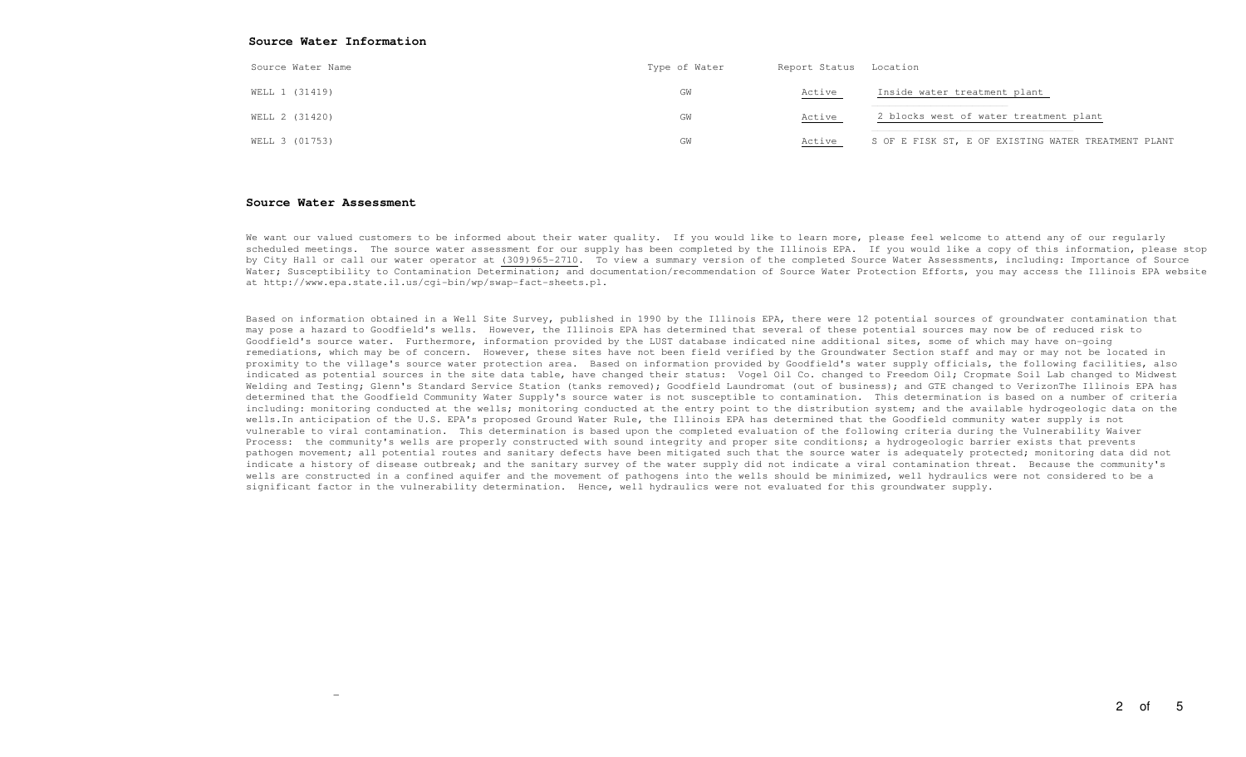| Source Water Name | Type of Water | Report Status Location |                                                     |
|-------------------|---------------|------------------------|-----------------------------------------------------|
| WELL 1 (31419)    | GW            | Active                 | Inside water treatment plant                        |
| WELL 2 (31420)    | GW            | <u>Active</u>          | 2 blocks west of water treatment plant              |
| WELL 3 (01753)    | GW            | Active                 | S OF E FISK ST, E OF EXISTING WATER TREATMENT PLANT |

Beach State Indeed to the state of the state of the state of the state of the state of the state of the state of the state of the state of the state of the state of the state of the state of the state of the state of the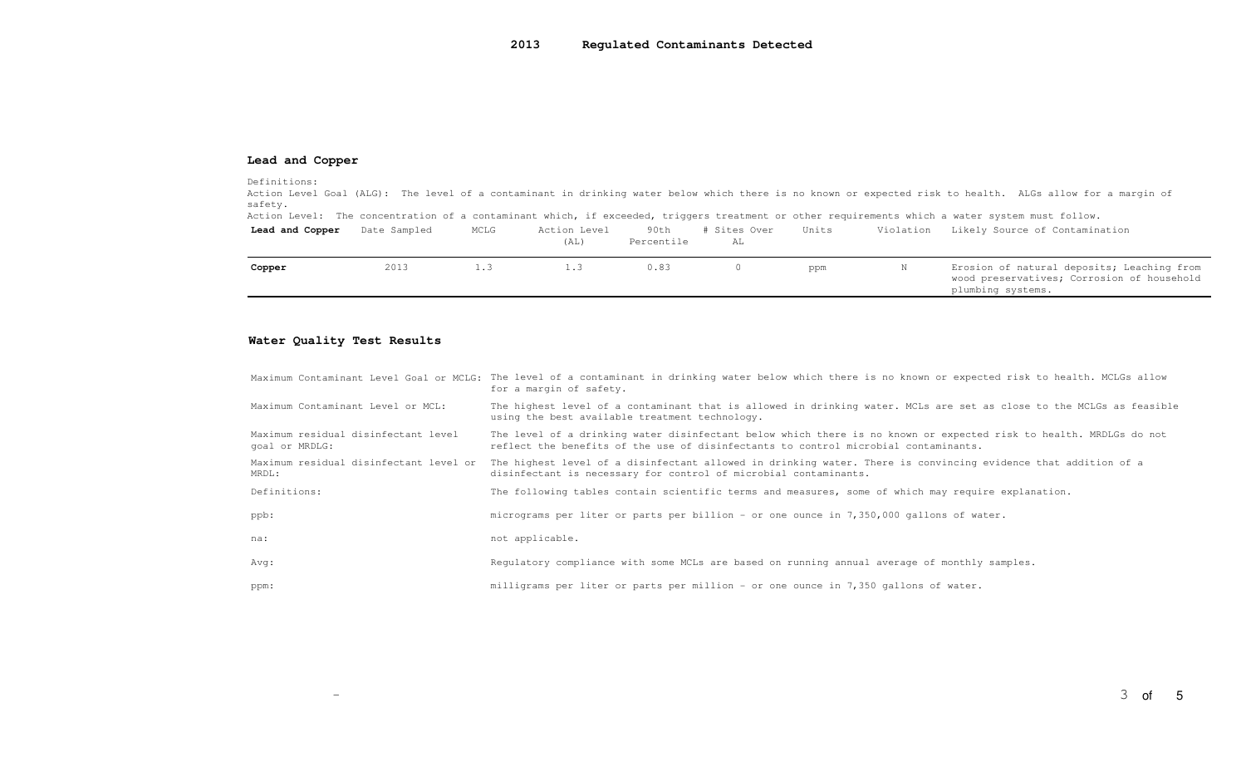### **Lead and Copper**

#### Definitions:

 Action Level Goal (ALG): The level of a contaminant in drinking water below which there is no known or expected risk to health. ALGs allow for a margin of safety.

Action Level: The concentration of a contaminant which, if exceeded, triggers treatment or other requirements which a water system must follow.

| Lead and Copper | Date Sampled | MCLG | Action Level<br>(AL) | 90th<br>Percentile | Sites Over<br>AL | Units | Violation | Likely Source of Contamination                                                                                |
|-----------------|--------------|------|----------------------|--------------------|------------------|-------|-----------|---------------------------------------------------------------------------------------------------------------|
| Copper          | 2013         | 1.3  | 1.3                  | 0.83               |                  | ppm   |           | Erosion of natural deposits; Leaching from<br>wood preservatives; Corrosion of household<br>plumbing systems. |

### **Water Quality Test Results**

 $\overline{\phantom{0}}$ 

|                                                       | Maximum Contaminant Level Goal or MCLG: The level of a contaminant in drinking water below which there is no known or expected risk to health. MCLGs allow<br>for a margin of safety.                     |
|-------------------------------------------------------|-----------------------------------------------------------------------------------------------------------------------------------------------------------------------------------------------------------|
| Maximum Contaminant Level or MCL:                     | The highest level of a contaminant that is allowed in drinking water. MCLs are set as close to the MCLGs as feasible<br>using the best available treatment technology.                                    |
| Maximum residual disinfectant level<br>goal or MRDLG: | The level of a drinking water disinfectant below which there is no known or expected risk to health. MRDLGs do not<br>reflect the benefits of the use of disinfectants to control microbial contaminants. |
| Maximum residual disinfectant level or<br>MRDL:       | The highest level of a disinfectant allowed in drinking water. There is convincing evidence that addition of a<br>disinfectant is necessary for control of microbial contaminants.                        |
| Definitions:                                          | The following tables contain scientific terms and measures, some of which may require explanation.                                                                                                        |
| ppb:                                                  | micrograms per liter or parts per billion - or one ounce in 7,350,000 gallons of water.                                                                                                                   |
| na:                                                   | not applicable.                                                                                                                                                                                           |
| Avg:                                                  | Requlatory compliance with some MCLs are based on running annual average of monthly samples.                                                                                                              |
| ppm:                                                  | milligrams per liter or parts per million - or one ounce in 7,350 gallons of water.                                                                                                                       |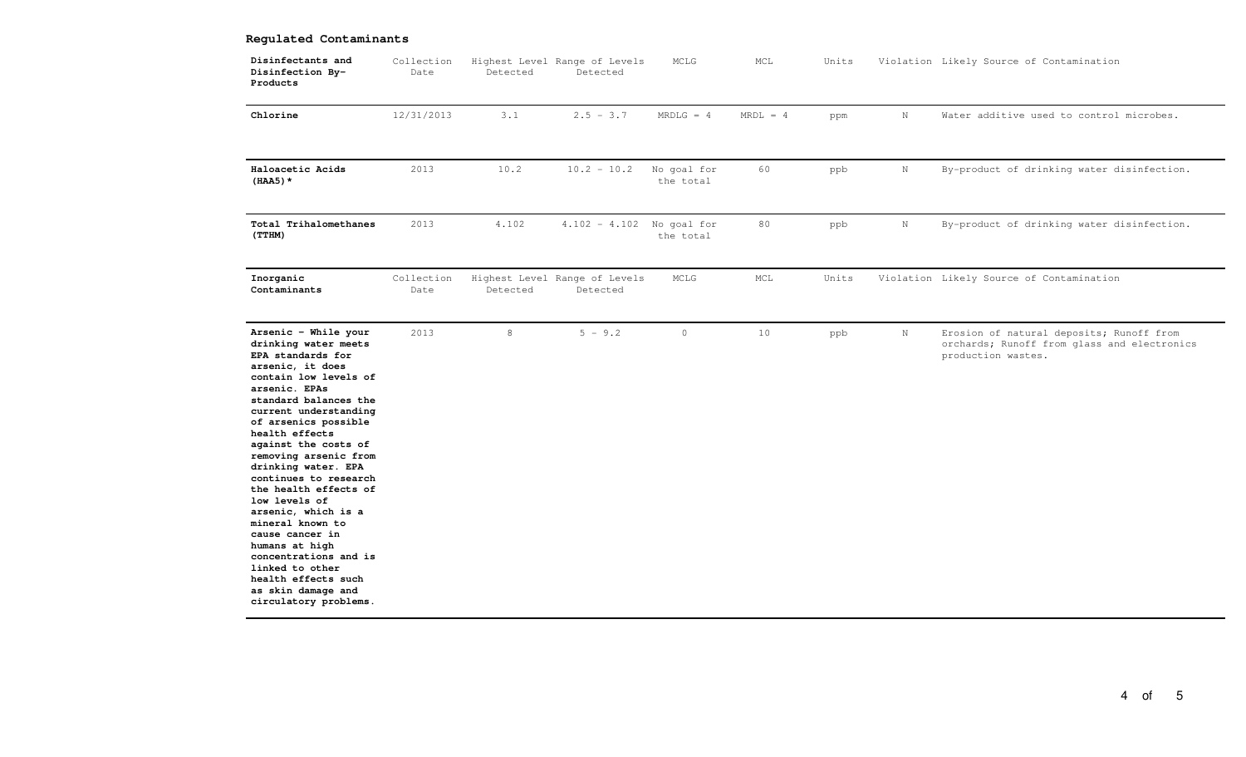## **Regulated Contaminants**

| Disinfectants and<br>Disinfection By-<br>Products                                                                                                                                                                                                                                                                                                                                                                                                                                                                                                                        | Collection<br>Date | Detected | Highest Level Range of Levels<br>Detected | MCLG                     | MCL        | Units |             | Violation Likely Source of Contamination                                                                      |
|--------------------------------------------------------------------------------------------------------------------------------------------------------------------------------------------------------------------------------------------------------------------------------------------------------------------------------------------------------------------------------------------------------------------------------------------------------------------------------------------------------------------------------------------------------------------------|--------------------|----------|-------------------------------------------|--------------------------|------------|-------|-------------|---------------------------------------------------------------------------------------------------------------|
| Chlorine                                                                                                                                                                                                                                                                                                                                                                                                                                                                                                                                                                 | 12/31/2013         | 3.1      | $2.5 - 3.7$                               | $MRDLG = 4$              | $MRDL = 4$ | ppm   | $\mathbf N$ | Water additive used to control microbes.                                                                      |
| Haloacetic Acids<br>$(HAA5)$ *                                                                                                                                                                                                                                                                                                                                                                                                                                                                                                                                           | 2013               | 10.2     | $10.2 - 10.2$                             | No goal for<br>the total | 60         | ppb   | N           | By-product of drinking water disinfection.                                                                    |
| Total Trihalomethanes<br>(TTHM)                                                                                                                                                                                                                                                                                                                                                                                                                                                                                                                                          | 2013               | 4.102    | $4.102 - 4.102$ No goal for               | the total                | 80         | ppb   | $\,$ N      | By-product of drinking water disinfection.                                                                    |
| Inorganic<br>Contaminants                                                                                                                                                                                                                                                                                                                                                                                                                                                                                                                                                | Collection<br>Date | Detected | Highest Level Range of Levels<br>Detected | MCLG                     | MCL        | Units |             | Violation Likely Source of Contamination                                                                      |
| Arsenic - While your<br>drinking water meets<br>EPA standards for<br>arsenic, it does<br>contain low levels of<br>arsenic. EPAs<br>standard balances the<br>current understanding<br>of arsenics possible<br>health effects<br>against the costs of<br>removing arsenic from<br>drinking water. EPA<br>continues to research<br>the health effects of<br>low levels of<br>arsenic, which is a<br>mineral known to<br>cause cancer in<br>humans at high<br>concentrations and is<br>linked to other<br>health effects such<br>as skin damage and<br>circulatory problems. | 2013               | $\,8\,$  | $5 - 9.2$                                 | $\circ$                  | 10         | ppb   | $\,$ N      | Erosion of natural deposits; Runoff from<br>orchards; Runoff from glass and electronics<br>production wastes. |